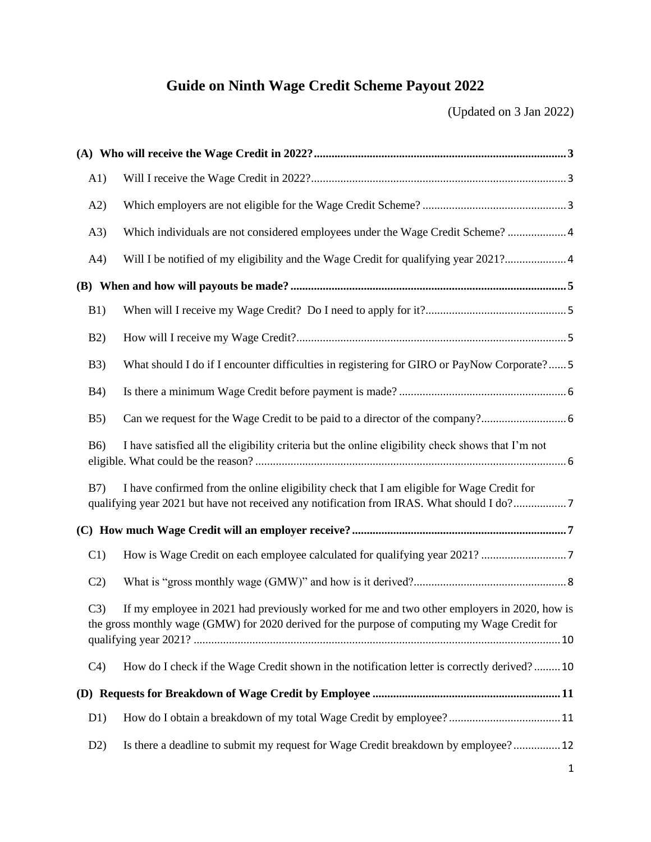# **Guide on Ninth Wage Credit Scheme Payout 2022**

(Updated on 3 Jan 2022)

| A1)                                                                                                                                                                                                 |                                                                                                                                                                                        |  |  |
|-----------------------------------------------------------------------------------------------------------------------------------------------------------------------------------------------------|----------------------------------------------------------------------------------------------------------------------------------------------------------------------------------------|--|--|
| A2)                                                                                                                                                                                                 |                                                                                                                                                                                        |  |  |
| (A3)                                                                                                                                                                                                | Which individuals are not considered employees under the Wage Credit Scheme?  4                                                                                                        |  |  |
| A4)                                                                                                                                                                                                 |                                                                                                                                                                                        |  |  |
|                                                                                                                                                                                                     |                                                                                                                                                                                        |  |  |
| B1)                                                                                                                                                                                                 |                                                                                                                                                                                        |  |  |
| B2)                                                                                                                                                                                                 |                                                                                                                                                                                        |  |  |
| B3)                                                                                                                                                                                                 | What should I do if I encounter difficulties in registering for GIRO or PayNow Corporate?5                                                                                             |  |  |
| <b>B4</b> )                                                                                                                                                                                         |                                                                                                                                                                                        |  |  |
| B5)                                                                                                                                                                                                 |                                                                                                                                                                                        |  |  |
| <b>B6</b> )                                                                                                                                                                                         | I have satisfied all the eligibility criteria but the online eligibility check shows that I'm not                                                                                      |  |  |
| B <sub>7</sub>                                                                                                                                                                                      | I have confirmed from the online eligibility check that I am eligible for Wage Credit for<br>qualifying year 2021 but have not received any notification from IRAS. What should I do?7 |  |  |
|                                                                                                                                                                                                     |                                                                                                                                                                                        |  |  |
| C1)                                                                                                                                                                                                 |                                                                                                                                                                                        |  |  |
| C2)                                                                                                                                                                                                 |                                                                                                                                                                                        |  |  |
| If my employee in 2021 had previously worked for me and two other employers in 2020, how is<br>C3)<br>the gross monthly wage (GMW) for 2020 derived for the purpose of computing my Wage Credit for |                                                                                                                                                                                        |  |  |
| C <sub>4</sub>                                                                                                                                                                                      | How do I check if the Wage Credit shown in the notification letter is correctly derived?10                                                                                             |  |  |
|                                                                                                                                                                                                     |                                                                                                                                                                                        |  |  |
| D1)                                                                                                                                                                                                 |                                                                                                                                                                                        |  |  |
| D2)                                                                                                                                                                                                 | Is there a deadline to submit my request for Wage Credit breakdown by employee? 12                                                                                                     |  |  |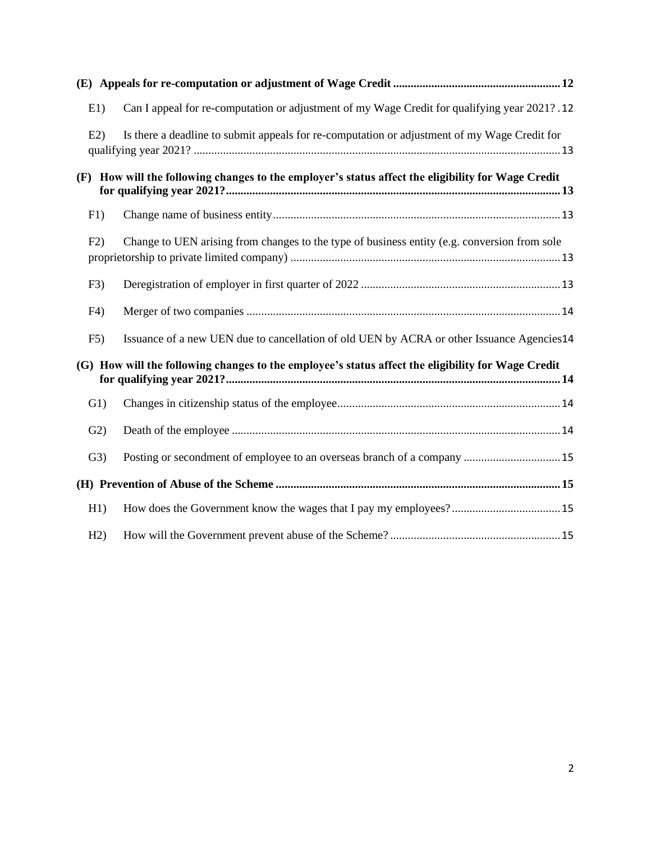| E1)                                                                                                | Can I appeal for re-computation or adjustment of my Wage Credit for qualifying year 2021?.12       |  |
|----------------------------------------------------------------------------------------------------|----------------------------------------------------------------------------------------------------|--|
| E2                                                                                                 | Is there a deadline to submit appeals for re-computation or adjustment of my Wage Credit for       |  |
|                                                                                                    | (F) How will the following changes to the employer's status affect the eligibility for Wage Credit |  |
| F1)                                                                                                |                                                                                                    |  |
| F2)                                                                                                | Change to UEN arising from changes to the type of business entity (e.g. conversion from sole       |  |
| F3)                                                                                                |                                                                                                    |  |
| F <sub>4</sub>                                                                                     |                                                                                                    |  |
| F5)                                                                                                | Issuance of a new UEN due to cancellation of old UEN by ACRA or other Issuance Agencies14          |  |
| (G) How will the following changes to the employee's status affect the eligibility for Wage Credit |                                                                                                    |  |
| G1)                                                                                                |                                                                                                    |  |
| G2)                                                                                                |                                                                                                    |  |
| G3)                                                                                                | Posting or secondment of employee to an overseas branch of a company  15                           |  |
|                                                                                                    |                                                                                                    |  |
| H1)                                                                                                |                                                                                                    |  |
| H2)                                                                                                |                                                                                                    |  |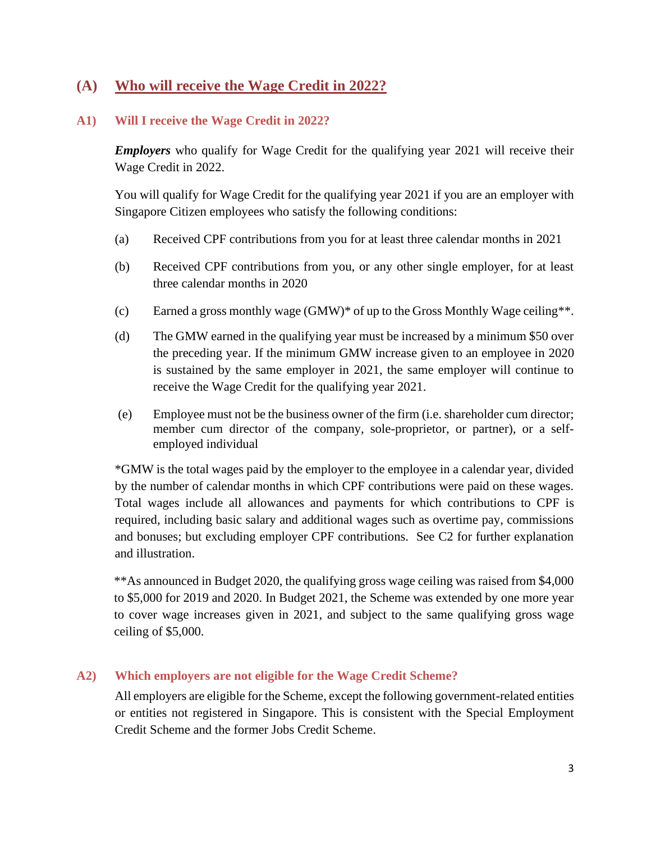### <span id="page-2-0"></span>**(A) Who will receive the Wage Credit in 2022?**

### <span id="page-2-1"></span>**A1) Will I receive the Wage Credit in 2022?**

*Employers* who qualify for Wage Credit for the qualifying year 2021 will receive their Wage Credit in 2022.

You will qualify for Wage Credit for the qualifying year 2021 if you are an employer with Singapore Citizen employees who satisfy the following conditions:

- (a) Received CPF contributions from you for at least three calendar months in 2021
- (b) Received CPF contributions from you, or any other single employer, for at least three calendar months in 2020
- (c) Earned a gross monthly wage  $(GMW)^*$  of up to the Gross Monthly Wage ceiling<sup>\*\*</sup>.
- (d) The GMW earned in the qualifying year must be increased by a minimum \$50 over the preceding year. If the minimum GMW increase given to an employee in 2020 is sustained by the same employer in 2021, the same employer will continue to receive the Wage Credit for the qualifying year 2021.
- (e) Employee must not be the business owner of the firm (i.e. shareholder cum director; member cum director of the company, sole-proprietor, or partner), or a selfemployed individual

\*GMW is the total wages paid by the employer to the employee in a calendar year, divided by the number of calendar months in which CPF contributions were paid on these wages. Total wages include all allowances and payments for which contributions to CPF is required, including basic salary and additional wages such as overtime pay, commissions and bonuses; but excluding employer CPF contributions. See C2 for further explanation and illustration.

\*\*As announced in Budget 2020, the qualifying gross wage ceiling was raised from \$4,000 to \$5,000 for 2019 and 2020. In Budget 2021, the Scheme was extended by one more year to cover wage increases given in 2021, and subject to the same qualifying gross wage ceiling of \$5,000.

### <span id="page-2-2"></span>**A2) Which employers are not eligible for the Wage Credit Scheme?**

All employers are eligible for the Scheme, except the following government-related entities or entities not registered in Singapore. This is consistent with the Special Employment Credit Scheme and the former Jobs Credit Scheme.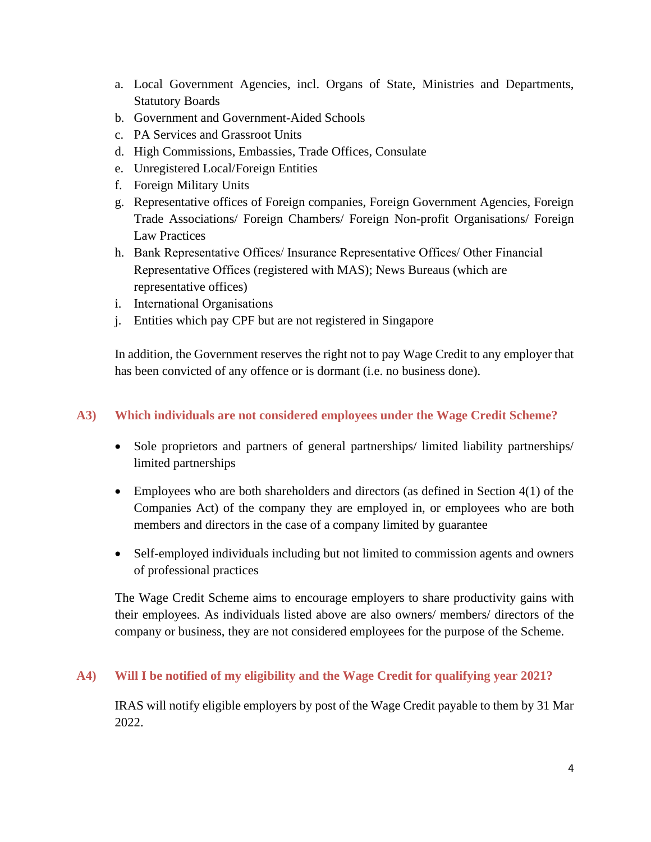- a. Local Government Agencies, incl. Organs of State, Ministries and Departments, Statutory Boards
- b. Government and Government-Aided Schools
- c. PA Services and Grassroot Units
- d. High Commissions, Embassies, Trade Offices, Consulate
- e. Unregistered Local/Foreign Entities
- f. Foreign Military Units
- g. Representative offices of Foreign companies, Foreign Government Agencies, Foreign Trade Associations/ Foreign Chambers/ Foreign Non-profit Organisations/ Foreign Law Practices
- h. Bank Representative Offices/ Insurance Representative Offices/ Other Financial Representative Offices (registered with MAS); News Bureaus (which are representative offices)
- i. International Organisations
- j. Entities which pay CPF but are not registered in Singapore

In addition, the Government reserves the right not to pay Wage Credit to any employer that has been convicted of any offence or is dormant (i.e. no business done).

### <span id="page-3-0"></span>**A3) Which individuals are not considered employees under the Wage Credit Scheme?**

- Sole proprietors and partners of general partnerships/ limited liability partnerships/ limited partnerships
- Employees who are both shareholders and directors (as defined in Section 4(1) of the Companies Act) of the company they are employed in, or employees who are both members and directors in the case of a company limited by guarantee
- Self-employed individuals including but not limited to commission agents and owners of professional practices

The Wage Credit Scheme aims to encourage employers to share productivity gains with their employees. As individuals listed above are also owners/ members/ directors of the company or business, they are not considered employees for the purpose of the Scheme.

### <span id="page-3-1"></span>**A4) Will I be notified of my eligibility and the Wage Credit for qualifying year 2021?**

IRAS will notify eligible employers by post of the Wage Credit payable to them by 31 Mar 2022.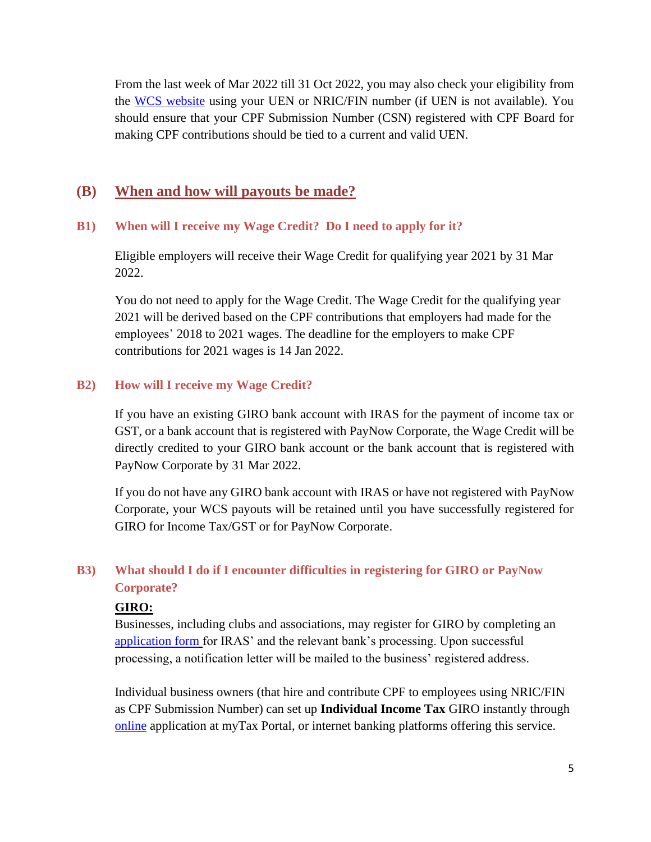From the last week of Mar 2022 till 31 Oct 2022, you may also check your eligibility from the [WCS website](https://mytax.iras.gov.sg/ESVWeb/default.aspx?target=EmployerEligibilitySearch) using your UEN or NRIC/FIN number (if UEN is not available). You should ensure that your CPF Submission Number (CSN) registered with CPF Board for making CPF contributions should be tied to a current and valid UEN.

### <span id="page-4-0"></span>**(B) When and how will payouts be made?**

#### <span id="page-4-1"></span>**B1) When will I receive my Wage Credit? Do I need to apply for it?**

Eligible employers will receive their Wage Credit for qualifying year 2021 by 31 Mar 2022.

You do not need to apply for the Wage Credit. The Wage Credit for the qualifying year 2021 will be derived based on the CPF contributions that employers had made for the employees' 2018 to 2021 wages. The deadline for the employers to make CPF contributions for 2021 wages is 14 Jan 2022.

#### <span id="page-4-2"></span>**B2) How will I receive my Wage Credit?**

If you have an existing GIRO bank account with IRAS for the payment of income tax or GST, or a bank account that is registered with PayNow Corporate, the Wage Credit will be directly credited to your GIRO bank account or the bank account that is registered with PayNow Corporate by 31 Mar 2022.

If you do not have any GIRO bank account with IRAS or have not registered with PayNow Corporate, your WCS payouts will be retained until you have successfully registered for GIRO for Income Tax/GST or for PayNow Corporate.

### <span id="page-4-3"></span>**B3) What should I do if I encounter difficulties in registering for GIRO or PayNow Corporate?**

#### **GIRO:**

Businesses, including clubs and associations, may register for GIRO by completing an [application form](https://www.iras.gov.sg/quick-links/forms/other-taxes-and-services/giro-application-forms) for IRAS' and the relevant bank's processing. Upon successful processing, a notification letter will be mailed to the business' registered address.

Individual business owners (that hire and contribute CPF to employees using NRIC/FIN as CPF Submission Number) can set up **Individual Income Tax** GIRO instantly through [online](https://www.iras.gov.sg/quick-links/forms/other-taxes-and-services/giro-application-forms) application at myTax Portal, or internet banking platforms offering this service.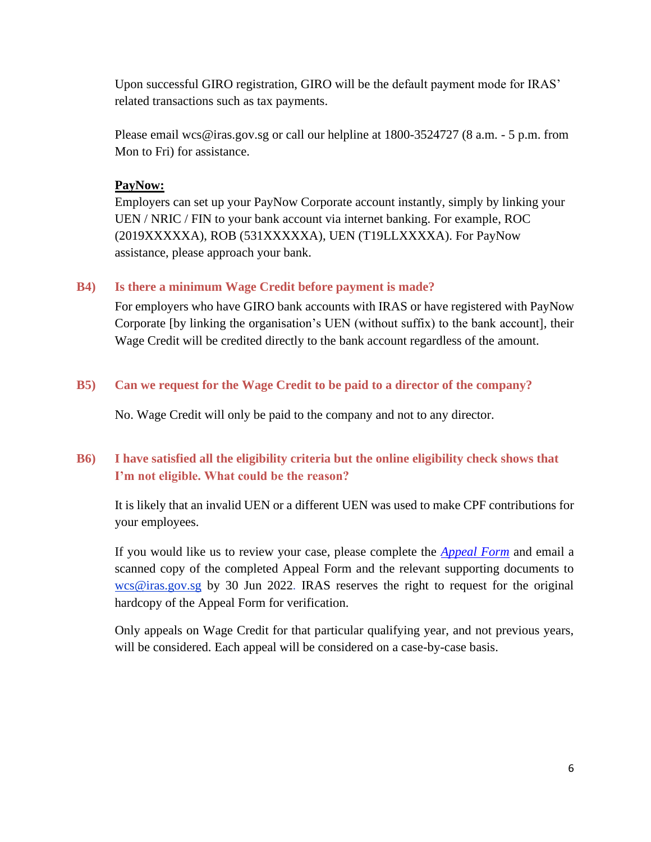Upon successful GIRO registration, GIRO will be the default payment mode for IRAS' related transactions such as tax payments.

Please email [wcs@iras.gov.sg](mailto:wcs@iras.gov.sg) or call our helpline at 1800-3524727 (8 a.m. - 5 p.m. from Mon to Fri) for assistance.

### **PayNow:**

Employers can set up your PayNow Corporate account instantly, simply by linking your UEN / NRIC / FIN to your bank account via internet banking. For example, ROC (2019XXXXXA), ROB (531XXXXXA), UEN (T19LLXXXXA). For PayNow assistance, please approach your bank.

#### <span id="page-5-0"></span>**B4) [Is there a minimum Wage Credit before payment is made?](javascript:void(0);)**

For employers who have GIRO bank accounts with IRAS or have registered with PayNow Corporate [by linking the organisation's UEN (without suffix) to the bank account], their Wage Credit will be credited directly to the bank account regardless of the amount.

### <span id="page-5-1"></span>**B5) Can we request for the Wage Credit to be paid to a director of the company?**

No. Wage Credit will only be paid to the company and not to any director.

### <span id="page-5-2"></span>**B6) I have satisfied all the eligibility criteria but the online eligibility check shows that I'm not eligible. What could be the reason?**

It is likely that an invalid UEN or a different UEN was used to make CPF contributions for your employees.

If you would like us to review your case, please complete the *[Appeal Form](https://www.iras.gov.sg/irashome/uploadedFiles/IRASHome/Schemes/WCS%20Appeal%20Form%20QY2019.pdf)* and email a scanned copy of the completed Appeal Form and the relevant supporting documents to [wcs@iras.gov.sg](mailto:wcs@iras.gov.sg) by 30 Jun 2022. IRAS reserves the right to request for the original hardcopy of the Appeal Form for verification.

Only appeals on Wage Credit for that particular qualifying year, and not previous years, will be considered. Each appeal will be considered on a case-by-case basis.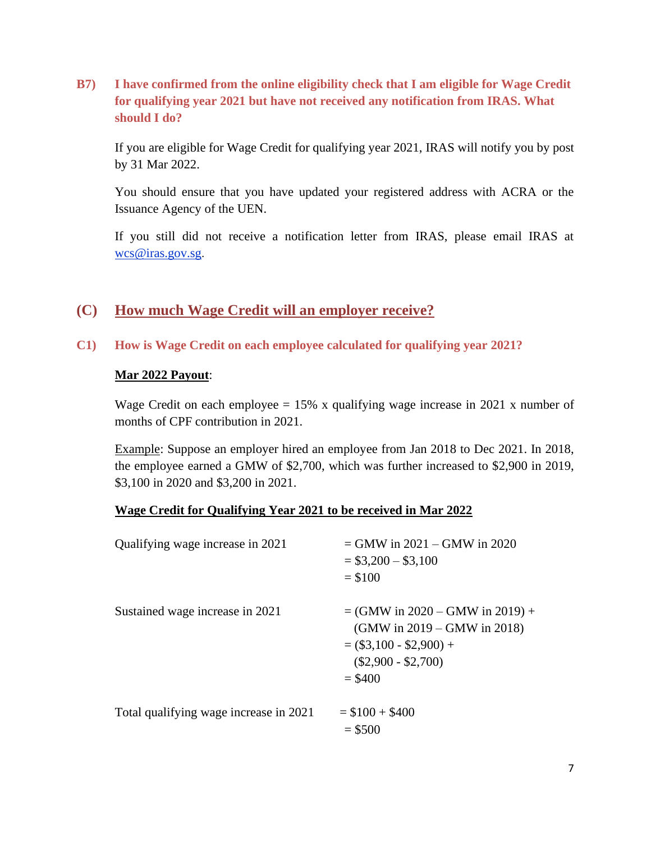<span id="page-6-0"></span>**B7) I have confirmed from the online eligibility check that I am eligible for Wage Credit for qualifying year 2021 but have not received any notification from IRAS. What should I do?** 

If you are eligible for Wage Credit for qualifying year 2021, IRAS will notify you by post by 31 Mar 2022.

You should ensure that you have updated your registered address with ACRA or the Issuance Agency of the UEN.

If you still did not receive a notification letter from IRAS, please email IRAS at [wcs@iras.gov.sg](mailto:wcs@iras.gov.sg).

### <span id="page-6-1"></span>**(C) How much Wage Credit will an employer receive?**

<span id="page-6-2"></span>**C1) How is Wage Credit on each employee calculated for qualifying year 2021?**

#### **Mar 2022 Payout**:

Wage Credit on each employee  $= 15\%$  x qualifying wage increase in 2021 x number of months of CPF contribution in 2021.

Example: Suppose an employer hired an employee from Jan 2018 to Dec 2021. In 2018, the employee earned a GMW of \$2,700, which was further increased to \$2,900 in 2019, \$3,100 in 2020 and \$3,200 in 2021.

#### **Wage Credit for Qualifying Year 2021 to be received in Mar 2022**

| Qualifying wage increase in 2021       | $=$ GMW in 2021 – GMW in 2020<br>$=$ \$3,200 $-$ \$3,100<br>$= $100$                                                                     |
|----------------------------------------|------------------------------------------------------------------------------------------------------------------------------------------|
| Sustained wage increase in 2021        | $=$ (GMW in 2020 – GMW in 2019) +<br>(GMW in $2019 -$ GMW in $2018$ )<br>$=$ (\$3,100 - \$2,900) +<br>$(\$2,900 - \$2,700)$<br>$=$ \$400 |
| Total qualifying wage increase in 2021 | $= $100 + $400$<br>$= $500$                                                                                                              |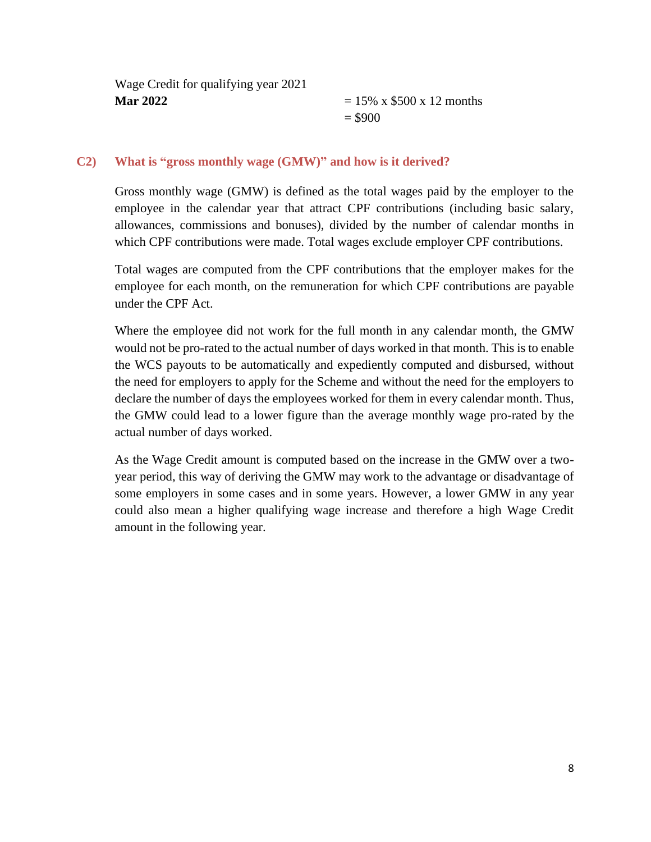| Wage Credit for qualifying year 2021 |                                       |
|--------------------------------------|---------------------------------------|
| <b>Mar 2022</b>                      | $= 15\% \times $500 \times 12$ months |
|                                      | $=$ \$900                             |

#### <span id="page-7-0"></span>**C2) What is "gross monthly wage (GMW)" and how is it derived?**

Gross monthly wage (GMW) is defined as the total wages paid by the employer to the employee in the calendar year that attract CPF contributions (including basic salary, allowances, commissions and bonuses), divided by the number of calendar months in which CPF contributions were made. Total wages exclude employer CPF contributions.

Total wages are computed from the CPF contributions that the employer makes for the employee for each month, on the remuneration for which CPF contributions are payable under the CPF Act.

Where the employee did not work for the full month in any calendar month, the GMW would not be pro-rated to the actual number of days worked in that month. This is to enable the WCS payouts to be automatically and expediently computed and disbursed, without the need for employers to apply for the Scheme and without the need for the employers to declare the number of days the employees worked for them in every calendar month. Thus, the GMW could lead to a lower figure than the average monthly wage pro-rated by the actual number of days worked.

As the Wage Credit amount is computed based on the increase in the GMW over a twoyear period, this way of deriving the GMW may work to the advantage or disadvantage of some employers in some cases and in some years. However, a lower GMW in any year could also mean a higher qualifying wage increase and therefore a high Wage Credit amount in the following year.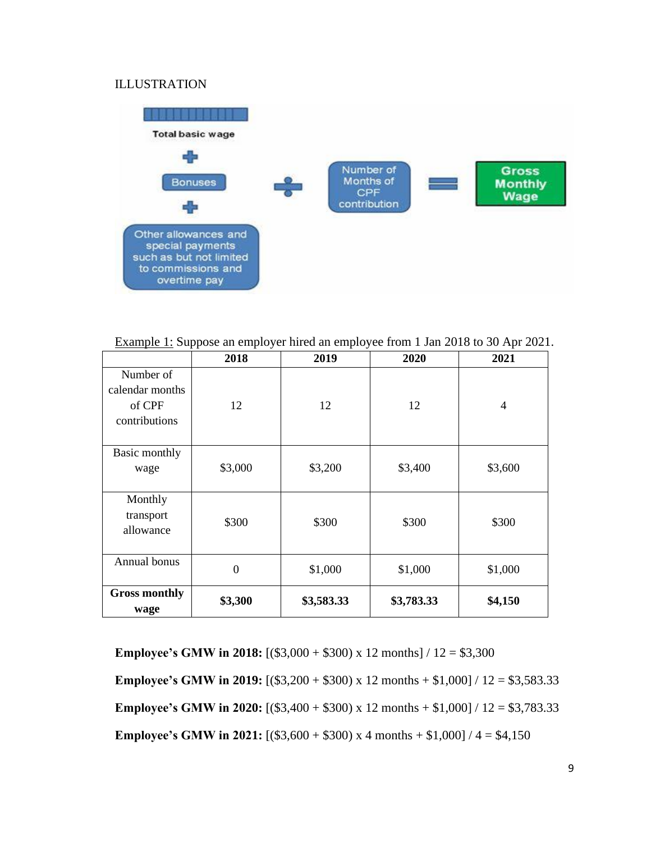### ILLUSTRATION



Example 1: Suppose an employer hired an employee from 1 Jan 2018 to 30 Apr 2021.

|                              | 2018         | 2019       | 2020       | 2021           |
|------------------------------|--------------|------------|------------|----------------|
| Number of<br>calendar months |              |            |            |                |
| of CPF                       | 12           | 12         | 12         | $\overline{4}$ |
| contributions                |              |            |            |                |
|                              |              |            |            |                |
| Basic monthly                |              |            |            |                |
| wage                         | \$3,000      | \$3,200    | \$3,400    | \$3,600        |
|                              |              |            |            |                |
| Monthly                      |              |            |            |                |
| transport                    | \$300        | \$300      | \$300      | \$300          |
| allowance                    |              |            |            |                |
|                              |              |            |            |                |
| Annual bonus                 | $\mathbf{0}$ | \$1,000    | \$1,000    | \$1,000        |
|                              |              |            |            |                |
| <b>Gross monthly</b>         | \$3,300      | \$3,583.33 | \$3,783.33 | \$4,150        |
| wage                         |              |            |            |                |

**Employee's GMW in 2018:**  $[(\$3,000 + \$300) \times 12 \text{ months}] / 12 = \$3,300$ **Employee's GMW in 2019:** [(\$3,200 + \$300) x 12 months + \$1,000] / 12 = \$3,583.33 **Employee's GMW in 2020:**  $[(\$3,400 + \$300) \times 12 \text{ months} + \$1,000] / 12 = \$3,783.33$ **Employee's GMW in 2021:**  $[(\$3,600 + \$300) \times 4 \text{ months} + \$1,000] / 4 = \$4,150$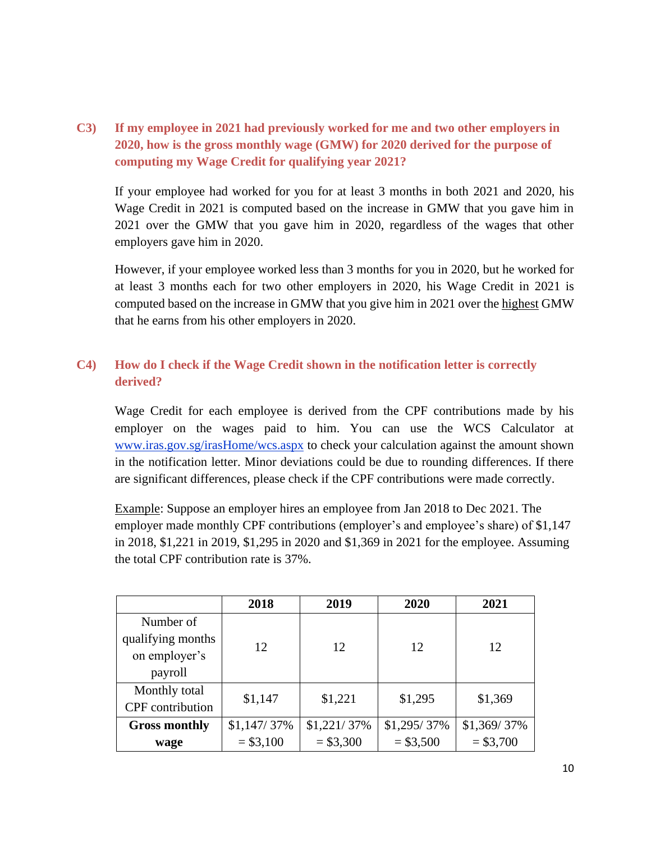### <span id="page-9-0"></span>**C3) If my employee in 2021 had previously worked for me and two other employers in 2020, how is the gross monthly wage (GMW) for 2020 derived for the purpose of computing my Wage Credit for qualifying year 2021?**

If your employee had worked for you for at least 3 months in both 2021 and 2020, his Wage Credit in 2021 is computed based on the increase in GMW that you gave him in 2021 over the GMW that you gave him in 2020, regardless of the wages that other employers gave him in 2020.

However, if your employee worked less than 3 months for you in 2020, but he worked for at least 3 months each for two other employers in 2020, his Wage Credit in 2021 is computed based on the increase in GMW that you give him in 2021 over the highest GMW that he earns from his other employers in 2020.

### <span id="page-9-1"></span>**C4) How do I check if the Wage Credit shown in the notification letter is correctly derived?**

Wage Credit for each employee is derived from the CPF contributions made by his employer on the wages paid to him. You can use the WCS Calculator at [www.iras.gov.sg/irasHome/wcs.aspx](http://www.iras.gov.sg/irasHome/wcs.aspx) to check your calculation against the amount shown in the notification letter. Minor deviations could be due to rounding differences. If there are significant differences, please check if the CPF contributions were made correctly.

Example: Suppose an employer hires an employee from Jan 2018 to Dec 2021. The employer made monthly CPF contributions (employer's and employee's share) of \$1,147 in 2018, \$1,221 in 2019, \$1,295 in 2020 and \$1,369 in 2021 for the employee. Assuming the total CPF contribution rate is 37%.

|                         | 2018          | 2019        | 2020          | 2021        |
|-------------------------|---------------|-------------|---------------|-------------|
| Number of               |               |             |               |             |
| qualifying months       | 12            | 12          | 12            | 12          |
| on employer's           |               |             |               |             |
| payroll                 |               |             |               |             |
| Monthly total           | \$1,147       | \$1,221     | \$1,295       | \$1,369     |
| <b>CPF</b> contribution |               |             |               |             |
| <b>Gross monthly</b>    | $$1,147/37\%$ | \$1,221/37% | $$1,295/37\%$ | \$1,369/37% |
| wage                    | $= $3,100$    | $= $3,300$  | $= $3,500$    | $= $3,700$  |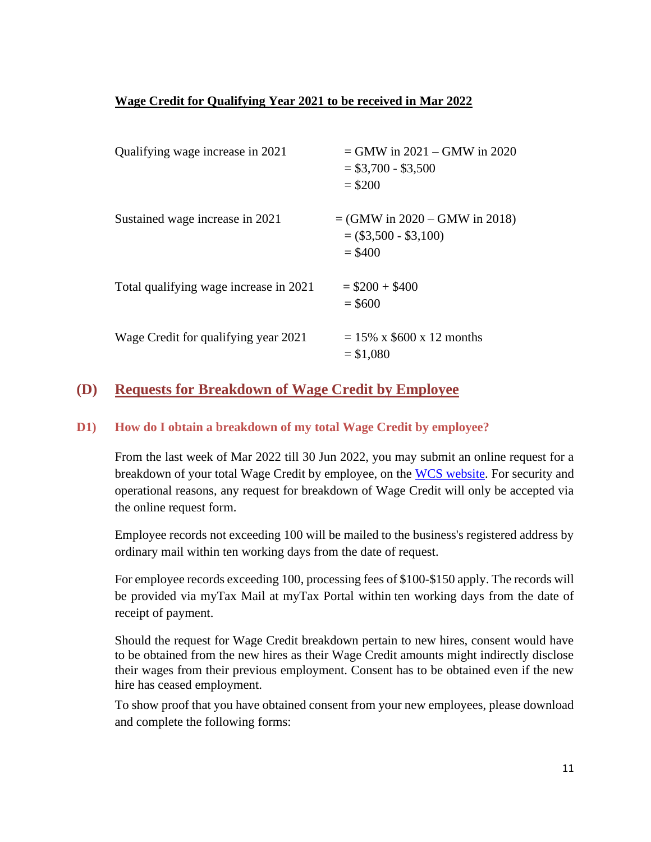### **Wage Credit for Qualifying Year 2021 to be received in Mar 2022**

| Qualifying wage increase in 2021       | $=$ GMW in 2021 – GMW in 2020<br>$=$ \$3,700 - \$3,500<br>$= $200$      |
|----------------------------------------|-------------------------------------------------------------------------|
| Sustained wage increase in 2021        | $=$ (GMW in 2020 – GMW in 2018)<br>$= (\$3,500 - \$3,100)$<br>$=$ \$400 |
| Total qualifying wage increase in 2021 | $= $200 + $400$<br>$= $600$                                             |
| Wage Credit for qualifying year 2021   | $= 15\% \times $600 \times 12$ months<br>$= $1,080$                     |

### <span id="page-10-0"></span>**(D) Requests for Breakdown of Wage Credit by Employee**

### <span id="page-10-1"></span>**D1) How do I obtain a breakdown of my total Wage Credit by employee?**

From the last week of Mar 2022 till 30 Jun 2022, you may submit an online request for a breakdown of your total Wage Credit by employee, on the WCS [website.](https://mytax.iras.gov.sg/ESVWeb/default.aspx?target=EmployerBreakdownRequest) For security and operational reasons, any request for breakdown of Wage Credit will only be accepted via the online request form.

Employee records not exceeding 100 will be mailed to the business's registered address by ordinary mail within ten working days from the date of request.

For employee records exceeding 100, processing fees of \$100-\$150 apply. The records will be provided via myTax Mail at myTax Portal within ten working days from the date of receipt of payment.

Should the request for Wage Credit breakdown pertain to new hires, consent would have to be obtained from the new hires as their Wage Credit amounts might indirectly disclose their wages from their previous employment. Consent has to be obtained even if the new hire has ceased employment.

To show proof that you have obtained consent from your new employees, please download and complete the following forms: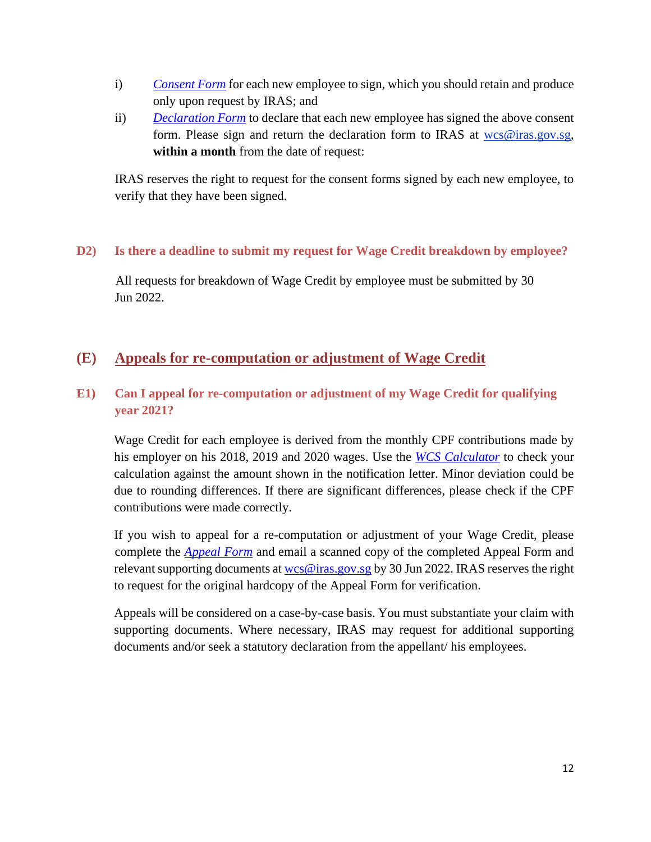- i) *[Consent Form](https://www.iras.gov.sg/irashome/uploadedFiles/IRASHome/Schemes/WCS%20Consent%20form%20(for%20new%20employees)%20QY2019.pdf)* for each new employee to sign, which you should retain and produce only upon request by IRAS; and
- ii) *[Declaration Form](https://www.iras.gov.sg/irashome/uploadedFiles/IRASHome/Schemes/WCS%20DECLARATION%20FORM_Breakdown%20Request%20QY2019.pdf)* to declare that each new employee has signed the above consent form. Please sign and return the declaration form to IRAS at [wcs@iras.gov.sg,](mailto:wcs@iras.gov.sg) **within a month** from the date of request:

IRAS reserves the right to request for the consent forms signed by each new employee, to verify that they have been signed.

### <span id="page-11-0"></span>**D2) Is there a deadline to submit my request for Wage Credit breakdown by employee?**

All requests for breakdown of Wage Credit by employee must be submitted by 30 Jun 2022.

### <span id="page-11-1"></span>**(E) Appeals for re-computation or adjustment of Wage Credit**

### <span id="page-11-2"></span>**E1) Can I appeal for re-computation or adjustment of my Wage Credit for qualifying year 2021?**

Wage Credit for each employee is derived from the monthly CPF contributions made by his employer on his 2018, 2019 and 2020 wages. Use the *[WCS Calculator](https://www.iras.gov.sg/IRASHome/Schemes/Businesses/Wage-Credit-Scheme--WCS-/)* to check your calculation against the amount shown in the notification letter. Minor deviation could be due to rounding differences. If there are significant differences, please check if the CPF contributions were made correctly.

If you wish to appeal for a re-computation or adjustment of your Wage Credit, please complete the *[Appeal Form](https://www.iras.gov.sg/irashome/uploadedFiles/IRASHome/Schemes/WCS%20Appeal%20Form%20QY2019.pdf)* and email a scanned copy of the completed Appeal Form and relevant supporting documents a[t wcs@iras.gov.sg](mailto:wcs@iras.gov.sg) by 30 Jun 2022. IRAS reserves the right to request for the original hardcopy of the Appeal Form for verification.

Appeals will be considered on a case-by-case basis. You must substantiate your claim with supporting documents. Where necessary, IRAS may request for additional supporting documents and/or seek a statutory declaration from the appellant/ his employees.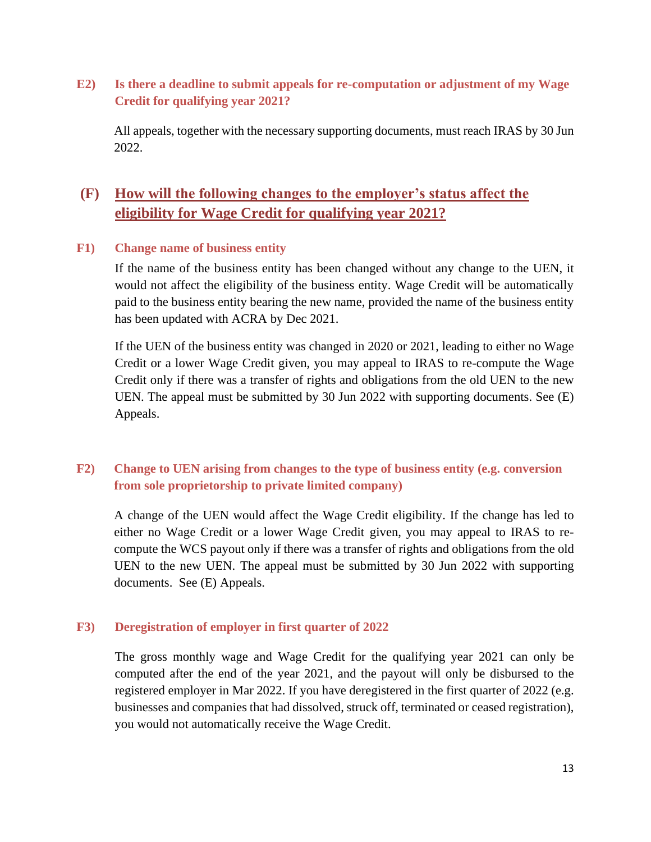### <span id="page-12-0"></span>**E2) Is there a deadline to submit appeals for re-computation or adjustment of my Wage Credit for qualifying year 2021?**

All appeals, together with the necessary supporting documents, must reach IRAS by 30 Jun 2022.

# <span id="page-12-1"></span>**(F) How will the following changes to the employer's status affect the eligibility for Wage Credit for qualifying year 2021?**

#### <span id="page-12-2"></span>**F1) Change name of business entity**

If the name of the business entity has been changed without any change to the UEN, it would not affect the eligibility of the business entity. Wage Credit will be automatically paid to the business entity bearing the new name, provided the name of the business entity has been updated with ACRA by Dec 2021.

If the UEN of the business entity was changed in 2020 or 2021, leading to either no Wage Credit or a lower Wage Credit given, you may appeal to IRAS to re-compute the Wage Credit only if there was a transfer of rights and obligations from the old UEN to the new UEN. The appeal must be submitted by 30 Jun 2022 with supporting documents. See (E) Appeals.

### <span id="page-12-3"></span>**F2) Change to UEN arising from changes to the type of business entity (e.g. conversion from sole proprietorship to private limited company)**

A change of the UEN would affect the Wage Credit eligibility. If the change has led to either no Wage Credit or a lower Wage Credit given, you may appeal to IRAS to recompute the WCS payout only if there was a transfer of rights and obligations from the old UEN to the new UEN. The appeal must be submitted by 30 Jun 2022 with supporting documents. See (E) Appeals.

#### <span id="page-12-4"></span>**F3) Deregistration of employer in first quarter of 2022**

The gross monthly wage and Wage Credit for the qualifying year 2021 can only be computed after the end of the year 2021, and the payout will only be disbursed to the registered employer in Mar 2022. If you have deregistered in the first quarter of 2022 (e.g. businesses and companies that had dissolved, struck off, terminated or ceased registration), you would not automatically receive the Wage Credit.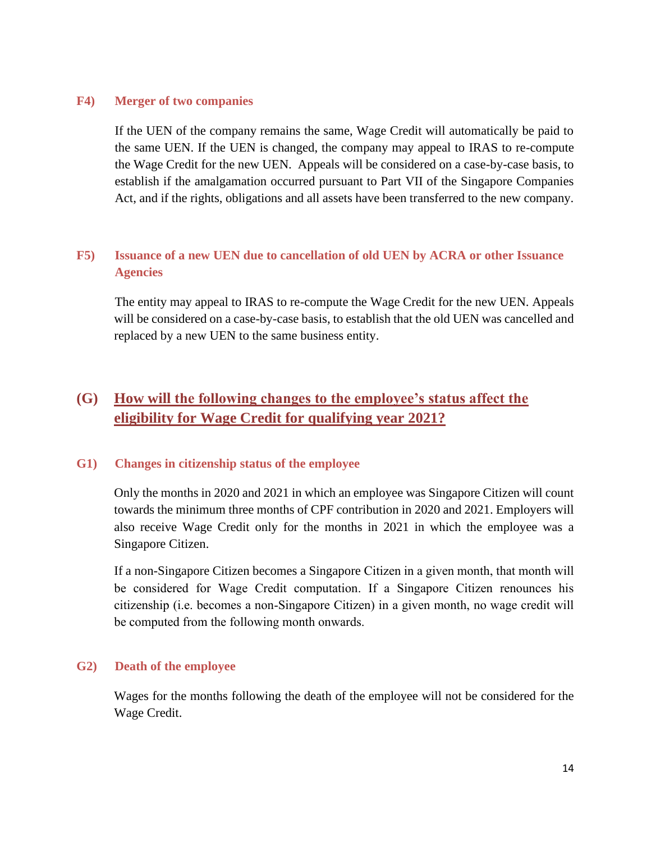#### <span id="page-13-0"></span>**F4) Merger of two companies**

If the UEN of the company remains the same, Wage Credit will automatically be paid to the same UEN. If the UEN is changed, the company may appeal to IRAS to re-compute the Wage Credit for the new UEN. Appeals will be considered on a case-by-case basis, to establish if the amalgamation occurred pursuant to Part VII of the Singapore Companies Act, and if the rights, obligations and all assets have been transferred to the new company.

### <span id="page-13-1"></span>**F5) Issuance of a new UEN due to cancellation of old UEN by ACRA or other Issuance Agencies**

The entity may appeal to IRAS to re-compute the Wage Credit for the new UEN. Appeals will be considered on a case-by-case basis, to establish that the old UEN was cancelled and replaced by a new UEN to the same business entity.

# <span id="page-13-2"></span>**(G) How will the following changes to the employee's status affect the eligibility for Wage Credit for qualifying year 2021?**

#### <span id="page-13-3"></span>**G1) Changes in citizenship status of the employee**

Only the months in 2020 and 2021 in which an employee was Singapore Citizen will count towards the minimum three months of CPF contribution in 2020 and 2021. Employers will also receive Wage Credit only for the months in 2021 in which the employee was a Singapore Citizen.

If a non-Singapore Citizen becomes a Singapore Citizen in a given month, that month will be considered for Wage Credit computation. If a Singapore Citizen renounces his citizenship (i.e. becomes a non-Singapore Citizen) in a given month, no wage credit will be computed from the following month onwards.

#### <span id="page-13-4"></span>**G2) Death of the employee**

Wages for the months following the death of the employee will not be considered for the Wage Credit.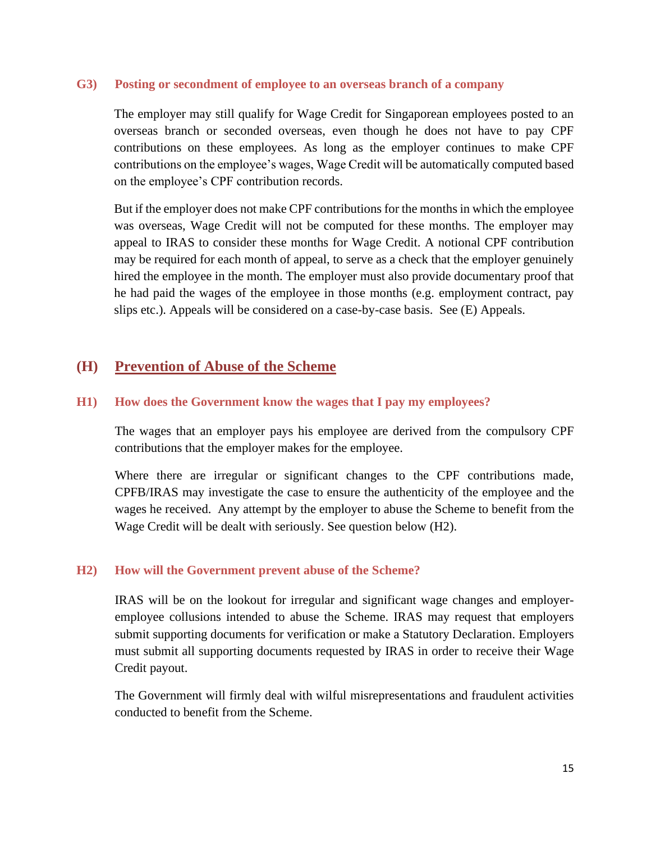#### <span id="page-14-0"></span>**G3) Posting or secondment of employee to an overseas branch of a company**

The employer may still qualify for Wage Credit for Singaporean employees posted to an overseas branch or seconded overseas, even though he does not have to pay CPF contributions on these employees. As long as the employer continues to make CPF contributions on the employee's wages, Wage Credit will be automatically computed based on the employee's CPF contribution records.

But if the employer does not make CPF contributions for the months in which the employee was overseas, Wage Credit will not be computed for these months. The employer may appeal to IRAS to consider these months for Wage Credit. A notional CPF contribution may be required for each month of appeal, to serve as a check that the employer genuinely hired the employee in the month. The employer must also provide documentary proof that he had paid the wages of the employee in those months (e.g. employment contract, pay slips etc.). Appeals will be considered on a case-by-case basis. See (E) Appeals.

### <span id="page-14-1"></span>**(H) Prevention of Abuse of the Scheme**

#### <span id="page-14-2"></span>**H1) How does the Government know the wages that I pay my employees?**

The wages that an employer pays his employee are derived from the compulsory CPF contributions that the employer makes for the employee.

Where there are irregular or significant changes to the CPF contributions made, CPFB/IRAS may investigate the case to ensure the authenticity of the employee and the wages he received. Any attempt by the employer to abuse the Scheme to benefit from the Wage Credit will be dealt with seriously. See question below (H2).

#### <span id="page-14-3"></span>**H2) How will the Government prevent abuse of the Scheme?**

IRAS will be on the lookout for irregular and significant wage changes and employeremployee collusions intended to abuse the Scheme. IRAS may request that employers submit supporting documents for verification or make a Statutory Declaration. Employers must submit all supporting documents requested by IRAS in order to receive their Wage Credit payout.

The Government will firmly deal with wilful misrepresentations and fraudulent activities conducted to benefit from the Scheme.